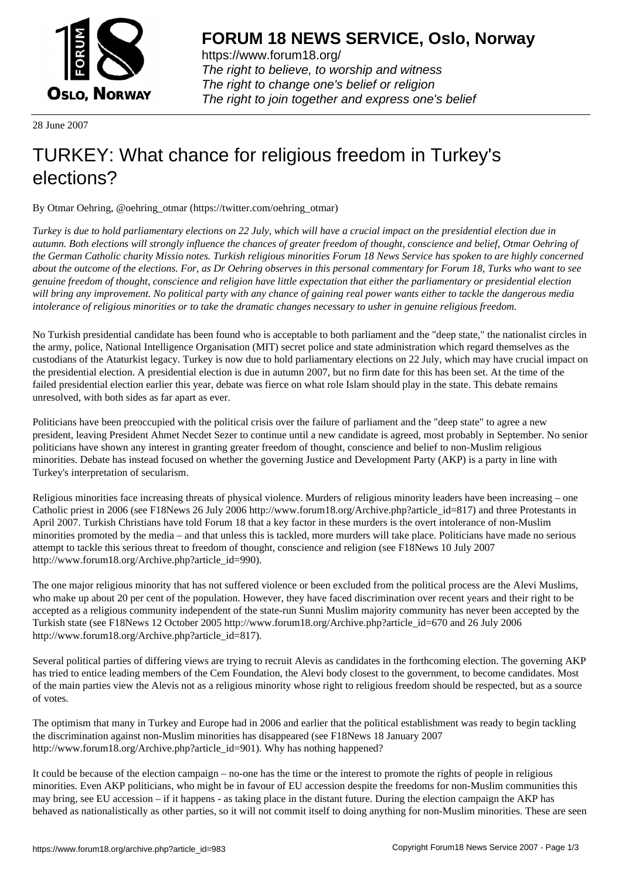

https://www.forum18.org/ The right to believe, to worship and witness The right to change one's belief or religion [The right to join together a](https://www.forum18.org/)nd express one's belief

28 June 2007

## [TURKEY: What](https://www.forum18.org) chance for religious freedom in Turkey's elections?

By Otmar Oehring, @oehring\_otmar (https://twitter.com/oehring\_otmar)

*Turkey is due to hold parliamentary elections on 22 July, which will have a crucial impact on the presidential election due in autumn. Both elections will strongly influence the chances of greater freedom of thought, conscience and belief, Otmar Oehring of the German Catholic charity Missio notes. Turkish religious minorities Forum 18 News Service has spoken to are highly concerned about the outcome of the elections. For, as Dr Oehring observes in this personal commentary for Forum 18, Turks who want to see genuine freedom of thought, conscience and religion have little expectation that either the parliamentary or presidential election will bring any improvement. No political party with any chance of gaining real power wants either to tackle the dangerous media intolerance of religious minorities or to take the dramatic changes necessary to usher in genuine religious freedom.*

No Turkish presidential candidate has been found who is acceptable to both parliament and the "deep state," the nationalist circles in the army, police, National Intelligence Organisation (MIT) secret police and state administration which regard themselves as the custodians of the Ataturkist legacy. Turkey is now due to hold parliamentary elections on 22 July, which may have crucial impact on the presidential election. A presidential election is due in autumn 2007, but no firm date for this has been set. At the time of the failed presidential election earlier this year, debate was fierce on what role Islam should play in the state. This debate remains unresolved, with both sides as far apart as ever.

Politicians have been preoccupied with the political crisis over the failure of parliament and the "deep state" to agree a new president, leaving President Ahmet Necdet Sezer to continue until a new candidate is agreed, most probably in September. No senior politicians have shown any interest in granting greater freedom of thought, conscience and belief to non-Muslim religious minorities. Debate has instead focused on whether the governing Justice and Development Party (AKP) is a party in line with Turkey's interpretation of secularism.

Religious minorities face increasing threats of physical violence. Murders of religious minority leaders have been increasing – one Catholic priest in 2006 (see F18News 26 July 2006 http://www.forum18.org/Archive.php?article\_id=817) and three Protestants in April 2007. Turkish Christians have told Forum 18 that a key factor in these murders is the overt intolerance of non-Muslim minorities promoted by the media – and that unless this is tackled, more murders will take place. Politicians have made no serious attempt to tackle this serious threat to freedom of thought, conscience and religion (see F18News 10 July 2007 http://www.forum18.org/Archive.php?article\_id=990).

The one major religious minority that has not suffered violence or been excluded from the political process are the Alevi Muslims, who make up about 20 per cent of the population. However, they have faced discrimination over recent years and their right to be accepted as a religious community independent of the state-run Sunni Muslim majority community has never been accepted by the Turkish state (see F18News 12 October 2005 http://www.forum18.org/Archive.php?article\_id=670 and 26 July 2006 http://www.forum18.org/Archive.php?article\_id=817).

Several political parties of differing views are trying to recruit Alevis as candidates in the forthcoming election. The governing AKP has tried to entice leading members of the Cem Foundation, the Alevi body closest to the government, to become candidates. Most of the main parties view the Alevis not as a religious minority whose right to religious freedom should be respected, but as a source of votes.

The optimism that many in Turkey and Europe had in 2006 and earlier that the political establishment was ready to begin tackling the discrimination against non-Muslim minorities has disappeared (see F18News 18 January 2007 http://www.forum18.org/Archive.php?article\_id=901). Why has nothing happened?

It could be because of the election campaign – no-one has the time or the interest to promote the rights of people in religious minorities. Even AKP politicians, who might be in favour of EU accession despite the freedoms for non-Muslim communities this may bring, see EU accession – if it happens - as taking place in the distant future. During the election campaign the AKP has behaved as nationalistically as other parties, so it will not commit itself to doing anything for non-Muslim minorities. These are seen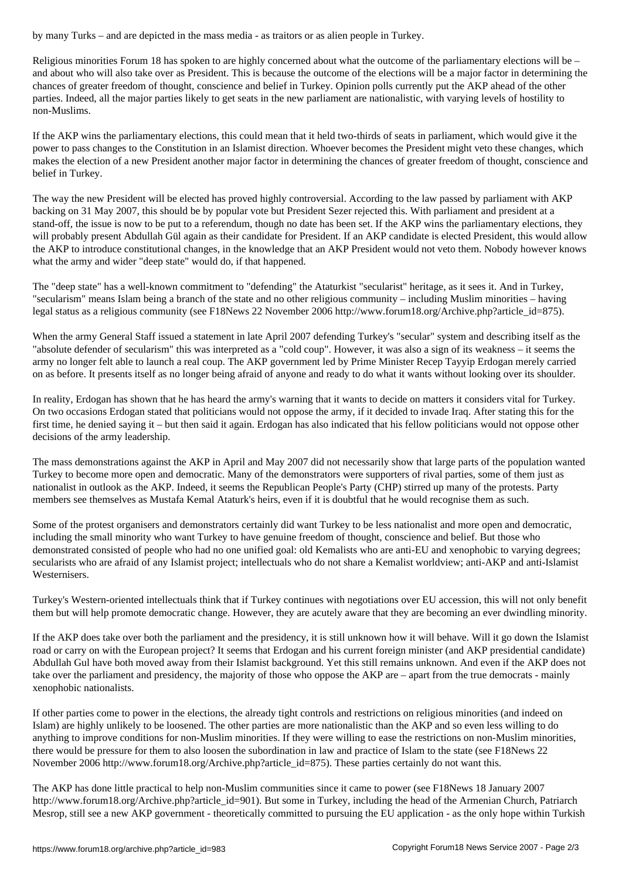Religious minorities Forum 18 has spoken to are highly concerned about what the outcome of the parliamentary elections will be – and about who will also take over as President. This is because the outcome of the elections will be a major factor in determining the chances of greater freedom of thought, conscience and belief in Turkey. Opinion polls currently put the AKP ahead of the other parties. Indeed, all the major parties likely to get seats in the new parliament are nationalistic, with varying levels of hostility to non-Muslims.

If the AKP wins the parliamentary elections, this could mean that it held two-thirds of seats in parliament, which would give it the power to pass changes to the Constitution in an Islamist direction. Whoever becomes the President might veto these changes, which makes the election of a new President another major factor in determining the chances of greater freedom of thought, conscience and belief in Turkey.

The way the new President will be elected has proved highly controversial. According to the law passed by parliament with AKP backing on 31 May 2007, this should be by popular vote but President Sezer rejected this. With parliament and president at a stand-off, the issue is now to be put to a referendum, though no date has been set. If the AKP wins the parliamentary elections, they will probably present Abdullah Gül again as their candidate for President. If an AKP candidate is elected President, this would allow the AKP to introduce constitutional changes, in the knowledge that an AKP President would not veto them. Nobody however knows what the army and wider "deep state" would do, if that happened.

The "deep state" has a well-known commitment to "defending" the Ataturkist "secularist" heritage, as it sees it. And in Turkey, "secularism" means Islam being a branch of the state and no other religious community – including Muslim minorities – having legal status as a religious community (see F18News 22 November 2006 http://www.forum18.org/Archive.php?article\_id=875).

When the army General Staff issued a statement in late April 2007 defending Turkey's "secular" system and describing itself as the "absolute defender of secularism" this was interpreted as a "cold coup". However, it was also a sign of its weakness – it seems the army no longer felt able to launch a real coup. The AKP government led by Prime Minister Recep Tayyip Erdogan merely carried on as before. It presents itself as no longer being afraid of anyone and ready to do what it wants without looking over its shoulder.

In reality, Erdogan has shown that he has heard the army's warning that it wants to decide on matters it considers vital for Turkey. On two occasions Erdogan stated that politicians would not oppose the army, if it decided to invade Iraq. After stating this for the first time, he denied saying it – but then said it again. Erdogan has also indicated that his fellow politicians would not oppose other decisions of the army leadership.

The mass demonstrations against the AKP in April and May 2007 did not necessarily show that large parts of the population wanted Turkey to become more open and democratic. Many of the demonstrators were supporters of rival parties, some of them just as nationalist in outlook as the AKP. Indeed, it seems the Republican People's Party (CHP) stirred up many of the protests. Party members see themselves as Mustafa Kemal Ataturk's heirs, even if it is doubtful that he would recognise them as such.

Some of the protest organisers and demonstrators certainly did want Turkey to be less nationalist and more open and democratic, including the small minority who want Turkey to have genuine freedom of thought, conscience and belief. But those who demonstrated consisted of people who had no one unified goal: old Kemalists who are anti-EU and xenophobic to varying degrees; secularists who are afraid of any Islamist project; intellectuals who do not share a Kemalist worldview; anti-AKP and anti-Islamist Westernisers.

Turkey's Western-oriented intellectuals think that if Turkey continues with negotiations over EU accession, this will not only benefit them but will help promote democratic change. However, they are acutely aware that they are becoming an ever dwindling minority.

If the AKP does take over both the parliament and the presidency, it is still unknown how it will behave. Will it go down the Islamist road or carry on with the European project? It seems that Erdogan and his current foreign minister (and AKP presidential candidate) Abdullah Gul have both moved away from their Islamist background. Yet this still remains unknown. And even if the AKP does not take over the parliament and presidency, the majority of those who oppose the AKP are – apart from the true democrats - mainly xenophobic nationalists.

If other parties come to power in the elections, the already tight controls and restrictions on religious minorities (and indeed on Islam) are highly unlikely to be loosened. The other parties are more nationalistic than the AKP and so even less willing to do anything to improve conditions for non-Muslim minorities. If they were willing to ease the restrictions on non-Muslim minorities, there would be pressure for them to also loosen the subordination in law and practice of Islam to the state (see F18News 22 November 2006 http://www.forum18.org/Archive.php?article\_id=875). These parties certainly do not want this.

The AKP has done little practical to help non-Muslim communities since it came to power (see F18News 18 January 2007 http://www.forum18.org/Archive.php?article\_id=901). But some in Turkey, including the head of the Armenian Church, Patriarch Mesrop, still see a new AKP government - theoretically committed to pursuing the EU application - as the only hope within Turkish